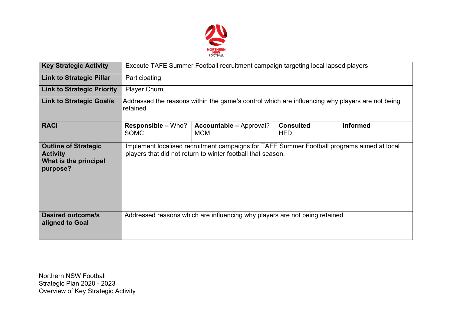

| <b>Key Strategic Activity</b>                                                       | Execute TAFE Summer Football recruitment campaign targeting local lapsed players                                                                          |                                              |                                |                 |  |  |  |  |
|-------------------------------------------------------------------------------------|-----------------------------------------------------------------------------------------------------------------------------------------------------------|----------------------------------------------|--------------------------------|-----------------|--|--|--|--|
| <b>Link to Strategic Pillar</b>                                                     | Participating                                                                                                                                             |                                              |                                |                 |  |  |  |  |
| <b>Link to Strategic Priority</b>                                                   | <b>Player Churn</b>                                                                                                                                       |                                              |                                |                 |  |  |  |  |
| <b>Link to Strategic Goal/s</b>                                                     | Addressed the reasons within the game's control which are influencing why players are not being<br>retained                                               |                                              |                                |                 |  |  |  |  |
| <b>RACI</b>                                                                         | <b>Responsible – Who?</b><br><b>SOMC</b>                                                                                                                  | <b>Accountable - Approval?</b><br><b>MCM</b> | <b>Consulted</b><br><b>HFD</b> | <b>Informed</b> |  |  |  |  |
| <b>Outline of Strategic</b><br><b>Activity</b><br>What is the principal<br>purpose? | Implement localised recruitment campaigns for TAFE Summer Football programs aimed at local<br>players that did not return to winter football that season. |                                              |                                |                 |  |  |  |  |
| <b>Desired outcome/s</b><br>aligned to Goal                                         | Addressed reasons which are influencing why players are not being retained                                                                                |                                              |                                |                 |  |  |  |  |

Northern NSW Football Strategic Plan 2020 - 2023 Overview of Key Strategic Activity